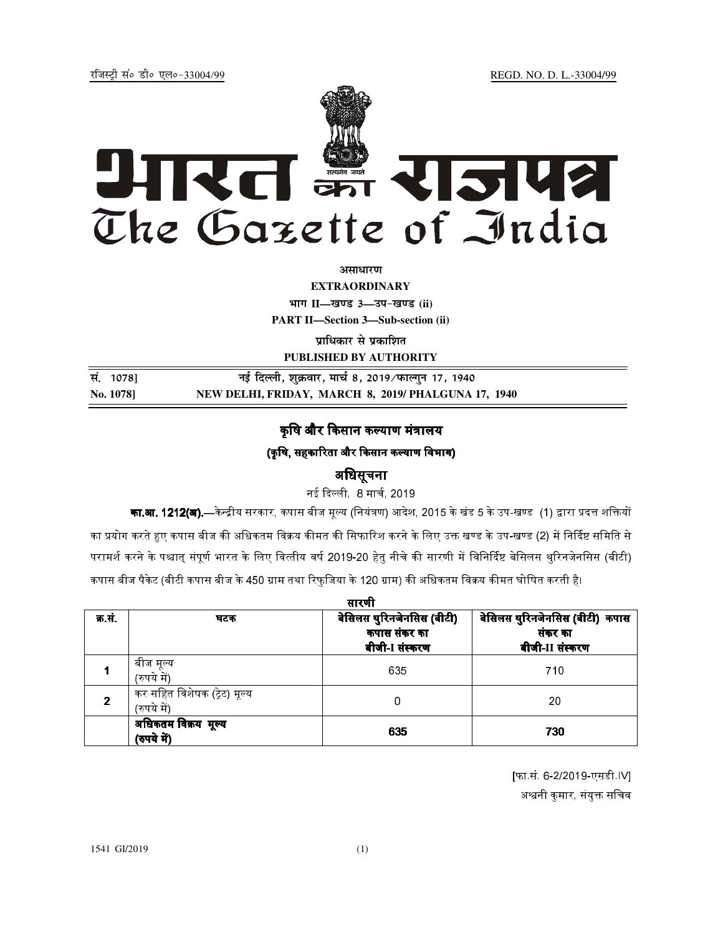jftLVªh laö Mhö ,yö&33004@99 REGD. NO. D. L.-33004/99



*<u>ature</u>lian* 

**EXTRAORDINARY**

**Hkkx II—[k.M 3—mi&[k.M (ii)**

**PART II—Section 3—Sub-section (ii)** 

**प्राधिकार से प्रकाशित** 

**PUBLISHED BY AUTHORITY**

| सं. 1078] | नई दिल्ली, शुक्रवार, मार्च 8, 2019 ∕फाल्गुन 17, 1940 |
|-----------|------------------------------------------------------|
| No. 1078  | NEW DELHI, FRIDAY, MARCH 8, 2019/PHALGUNA 17, 1940   |

# कषि और किसान कल्याण मंत्रालय

## (कृषि, सहकारिता और किसान कल्याण विभाग)

## अिधसूचना

नई दिल्ली 8 मार्च 2019

**का.आ. 1212(अ).—**केन्द्रीय सरकार, कपास बीज मूल्य (नियंत्रण) आदेश, 2015 के खंड 5 के उप-खण्ड (1) द्वारा प्रदत्त शक्तियों का प्रयोग करते हुए कपास बीज की अधिकतम विक्रय कीमत की सिफारिश करने के लिए उक्त खण्ड के उप-खण्ड (2) में निर्दिष्ट समिति से परामर्श करने के पश्चात संपर्ण भारत के लिए वित्तीय वर्ष 2019-20 हेत नीचे की सारणी में विनिर्दिष्ट बेसिलस थरिनजेनसिस (बीटी) कपास बीज पैकेट (बीटी कपास बीज के 450 ग्राम तथा रिफजिया के 120 ग्राम) की अधिकतम विक्रय कीमत घोषित करती है।

| सारणी  |                                             |                                                             |                                                              |  |  |  |
|--------|---------------------------------------------|-------------------------------------------------------------|--------------------------------------------------------------|--|--|--|
| क्र सं | घटक                                         | बेसिलस थुरिनजेनसिस (बीटी)<br>कपास संकर का<br>बीजी-I संस्करण | बेसिलस थुरिनजेनसिस (बीटी) कपास<br>संकर का<br>बीजी-II संस्करण |  |  |  |
|        | बीज मूल्य<br>(रुपये में)                    | 635                                                         | 710                                                          |  |  |  |
| 2      | कर सहित विशेषक (ट्रेट) मूल्य<br>(रुपये में) | 0                                                           | 20                                                           |  |  |  |
|        | अधिकतम विक्रय मूल्य<br>(रुपये में)          | 635                                                         | 730                                                          |  |  |  |

[फा.सं. 6-2/2019-एसडी.IV] अश्वनी कमार, संयक्त सचिव

1541 GI/2019 (1)